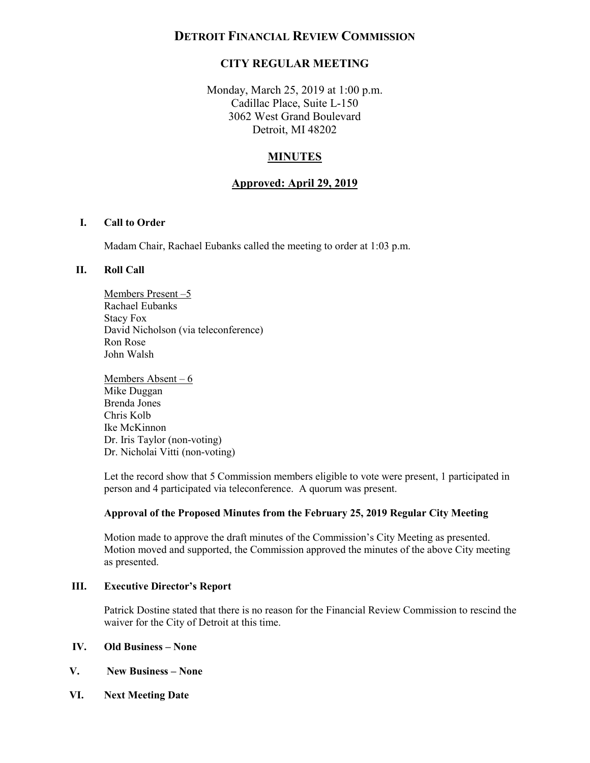# **DETROIT FINANCIAL REVIEW COMMISSION**

# **CITY REGULAR MEETING**

 Monday, March 25, 2019 at 1:00 p.m. Cadillac Place, Suite L-150 3062 West Grand Boulevard Detroit, MI 48202

# **MINUTES**

### **Approved: April 29, 2019**

### **I. Call to Order**

Madam Chair, Rachael Eubanks called the meeting to order at 1:03 p.m.

#### **II. Roll Call**

Members Present –5 Rachael Eubanks Stacy Fox David Nicholson (via teleconference) Ron Rose John Walsh

Members Absent – 6 Mike Duggan Brenda Jones Chris Kolb Ike McKinnon Dr. Iris Taylor (non-voting) Dr. Nicholai Vitti (non-voting)

 Let the record show that 5 Commission members eligible to vote were present, 1 participated in person and 4 participated via teleconference. A quorum was present.

#### **Approval of the Proposed Minutes from the February 25, 2019 Regular City Meeting**

 Motion moved and supported, the Commission approved the minutes of the above City meeting Motion made to approve the draft minutes of the Commission's City Meeting as presented. as presented.

### **III. Executive Director's Report**

 Patrick Dostine stated that there is no reason for the Financial Review Commission to rescind the waiver for the City of Detroit at this time.

### **IV. Old Business – None**

- **V. New Business None**
- **VI. Next Meeting Date**